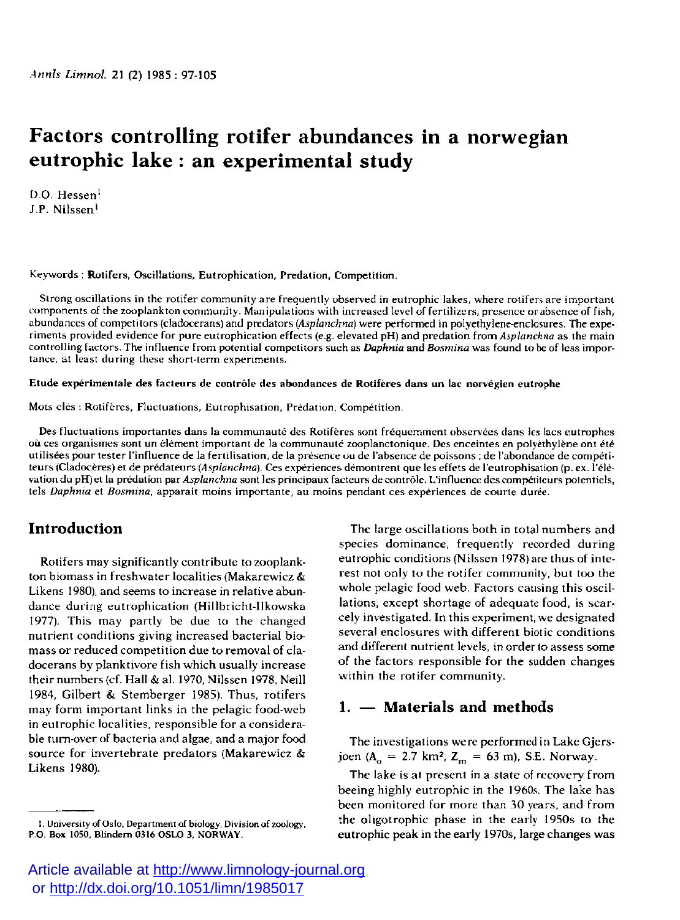# **Factors controlling rotifer abundances in a norwegian eutrophic lake : an experimental study**

D.O. Hessen<sup>1</sup> J.P. Nilssen<sup>1</sup>

Keywords : Rotifers, Oscillations, Eutrophication, Predation, Competition.

Strong oscillations in the rotifer community are frequently observed in eutrophic lakes, where rotifers are important components of the zooplankton community. Manipulations with increased level of fertilizers, presence or absence of fish, abundances of competiiors {cladocerans) and predators *(Asplanchna)* were performed in polyethylene-enclosures. The experiments provided evidence for pure eutrophication effects (e.g. elevated pH) and prédation from *Asplanchna* as the main controlling factors. The influence from potential competitors such as *Daphnia* and *Bosmina* was found to be of less importance, at least during these short-term experiments.

#### Etude expérimentale des facteurs de contrôle des abondances de Rotifères dans un lac norvégien eutrophe

Mots clés : Rotifères, Fluctuations, Eutrophisation, Prédation, Compétition.

Des fluctuations importantes dans la communauté des Rotifères sont fréquemment observées dans les lacs eutrophes où ces organismes sont un élément important de la communauté zooplanctonique. Des enceintes en polyethylene ont été utilisées pour tester l'influence de la fertilisation, de la présence ou de l'absence de poissons ; de l'abondance de compétiteurs (Cladocères) et de prédateurs *{Asplanchna).* Ces expériences démontrent que les effets de l'eutrophisation (p. ex. l'élévation du pH) et la prédation par *Asplanchna* sont les principaux facteurs de contrôle. L'influence des compétiteurs potentiels, tels *Daphnia* et *Bosmina,* apparait moins importante, au moins pendant ces expériences de courte durée.

## **Introduction**

Rotifers may significantly contribute to zooplankton biomass in freshwater localities (Makarewicz & Likens 1980), and seems to increase in relative abundance during eutrophication (Hillbricht-Ilkowska 1977). This may partly be due to the changed nutrient conditions giving increased bacterial biomass or reduced competition due to removal of cladocerans by planktivore fish which usually increase their numbers {cf. Hall & al. 1970, Nilssen 1978, Neill 1984, Gilbert & Stemberger 1985). Thus, rotifers may form important links in the pelagic food-web in eutrophic localities, responsible for a considerable turn-over of bacteria and algae, and a major food source for invertebrate predators (Makarewicz & Likens 1980).

The large oscillations both in total numbers and species dominance, frequently recorded during eutrophic conditions (Nilssen 1978) are thus of interest not only to the rotifer community, but too the whole pelagic food web. Factors causing this oscillations, except shortage of adequate food, is scarcely investigated. In this experiment, we designated several enclosures with different biotic conditions and different nutrient levels, in order to assess some of the factors responsible for the sudden changes within the rotifer community.

## **1. — Materials and methods**

The investigations were performed in Lake Gjersjoen  $(A_0 = 2.7 \text{ km}^2, Z_m = 63 \text{ m})$ , S.E. Norway.

The lake is at present in a state of recovery from beeing highly eutrophic in the 1960s. The lake has been monitored for more than 30 years, and from the oligotrophic phase in the early 1950s to the eutrophic peak in the early 1970s, large changes was

**I. University of Oslo, Department of biology, Division of zoology, P.O. Box 1050, Blindem 0316 OSLO 3, NORWAY .**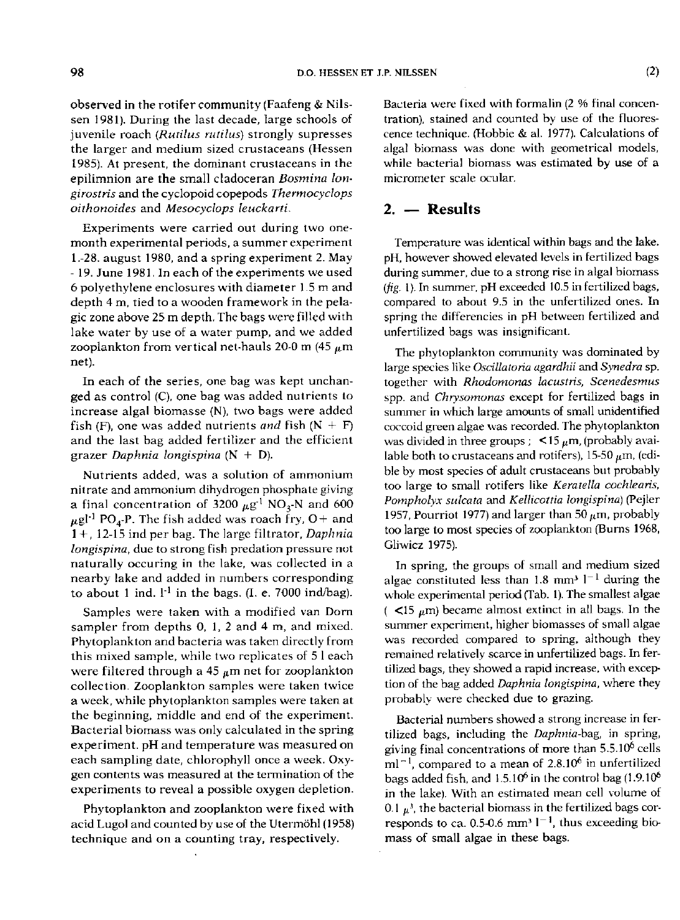observed in the rotifer community (Faafeng & Nilssen 1981). During the last decade, large schools of juvenile roach (Rutilus rutilus) strongly supresses the larger and medium sized crustaceans (Hessen 1985). At present, the dominant crustaceans in the epilimnion are the small cladoceran Bosmina lon*girostris* and the cyclopoid copepods *Thermocyclops oithonoides* and *Mesocyclops leuckarti.* 

Experiments were carried out during two onemonth experimental periods, a summer experiment 1 .-28. august 1980, and a spring experiment 2. May - 19. June 1981. In each of the experiments we used 6 polyethylene enclosures with diameter 1.5 m and depth 4 m, tied to a wooden framework in the pelagic zone above 25 m depth. The bags were filled with lake water by use of a water pump, and we added zooplankton from vertical net-hauls 20-0 m (45  $\mu$ m net).

In each of the series, one bag was kept unchanged as control (C), one bag was added nutrients to increase algal biomasse (N), two bags were added fish (F), one was added nutrients and fish  $(N + F)$ and the last bag added fertilizer and the efficient grazer *Daphnia longispina* (N + D).

Nutrients added, was a solution of ammonium nitrate and ammonium dihydrogen phosphate giving a final concentration of 3200  $\mu$ g<sup>-1</sup> NO<sub>3</sub>-N and 600  $\mu$ gl<sup>-1</sup> PO<sub>4</sub>-P. The fish added was roach fry, O + and 1 + , 12-15 ind per bag. The large filtrator, *Daphnia longispina*, due to strong fish predation pressure not naturally occuring in the lake, was collected in a nearby lake and added in numbers corresponding to about 1 ind.  $I^{-1}$  in the bags. (I. e. 7000 ind/bag).

Samples were taken with a modified van Dorn sampler from depths 0, 1, 2 and 4 m, and mixed. Phytoplankton and bacteria was taken directly from this mixed sample, while two replicates of 5 1 each were filtered through a 45  $\mu$ m net for zooplankton collection . Zooplankton samples were taken twice a week, while phytoplankton samples were taken at the beginning, middle and end of the experiment. Bacterial biomass was only calculated in the spring experiment. pH and temperature was measured on each sampling date, chlorophyll once a week. Oxygen contents was measured at the termination of the experiments to reveal a possible oxygen depletion.

Phytoplankton and zooplankton were fixed with acid Lugol and counted by use of the Utermohl (1958) technique and on a counting tray, respectively.

Bacteria were fixed with formalin (2 % final concentration), stained and counted by use of the fluorescence technique. (Hobbie & al. 1977). Calculations of algal biomass was done with geometrical models, while bacterial biomass was estimated by use of a micrometer scale ocular.

### **2. — Results**

Temperature was identical within bags and the lake. pH, however showed elevated levels in fertilized bags during summer, due to a strong rise in algal biomass *(jig.* 1). In summer, pH exceeded 10.5 in fertilized bags, compared to about 9.5 in the unfertilized ones. In spring the différencies in pH between fertilized and unfertilized bags was insignificant.

The phytoplankton community was dominated by large species like *Oscillatoria agardhii* and *Synedra* sp. together with *Rhodomonas lacustris, Scenedesmus*  spp. and *Chrysomonas* except for fertilized bags in summer in which large amounts of small unidentified coccoid green algae was recorded. The phytoplankton was divided in three groups ;  $\leq 15 \mu$ m, (probably available both to crustaceans and rotifers), 15-50  $\mu$ m, (edible by most species of adult crustaceans but probably too large to small rotifers like *Keratella cochleans, Potnpholyx sulcata* and *Kellicottia longispina)* (Pejter 1957, Pourriot 1977) and larger than 50  $\mu$ m, probably too large to most species of zooplankton (Burns 1968, Gliwicz 1975).

In spring, the groups of small and medium sized algae constituted less than 1.8 mm<sup>3</sup>  $1<sup>-1</sup>$  during the whole experimental period (Tab. 1). The smallest algae ( $\langle$ 15  $\mu$ m) became almost extinct in all bags. In the summer experiment, higher biomasses of small algae was recorded compared to spring, although they remained relatively scarce in unfertilized bags. In fertilized bags, they showed a rapid increase, with exception of the bag added *Daphnia longispina,* where they probablv were checked due to grazing.

Bacterial numbers showed a strong increase in fertilized bags, including the *Daphtiia-bag,* in spring, giving final concentrations of more than 5.5.10<sup>6</sup> cells  $ml^{-1}$ , compared to a mean of 2.8.10<sup>6</sup> in unfertilized bags added fish, and  $1.5.10^6$  in the control bag (1.9.10<sup>6</sup>) in the lake). With an estimated mean cell volume of 0.1  $\mu$ <sup>3</sup>, the bacterial biomass in the fertilized bags corresponds to ca.  $0.5{\text -}0.6$  mm<sup>3</sup>  $1^{-1}$ , thus exceeding biomass of small algae in these bags.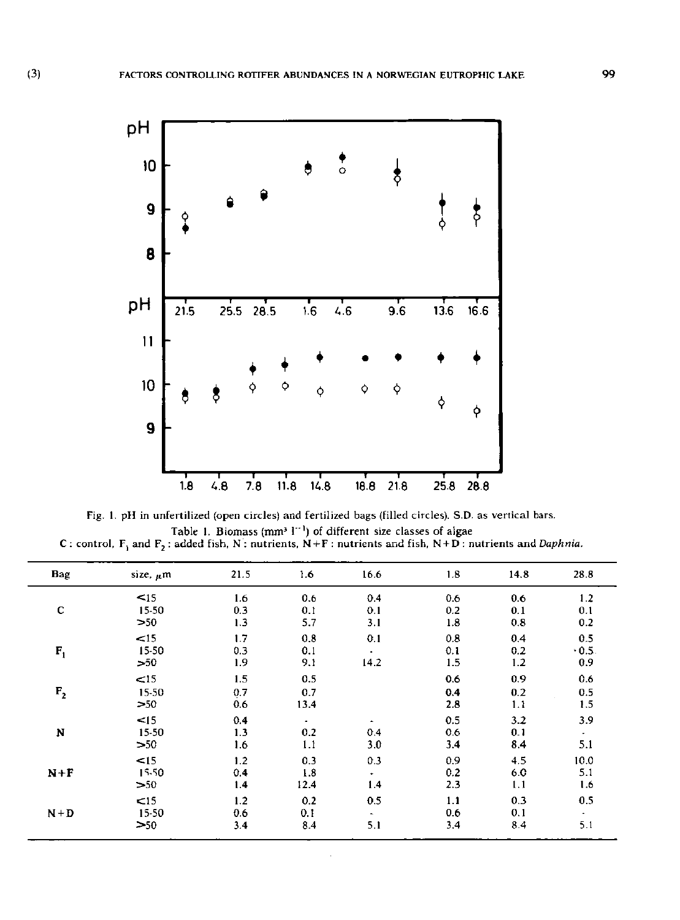

Fig. 1. pH in unfertilized (open circles) and fertilized bags (filled circles). S.D. as vertical bars. Table 1. Biomass  $\{mm^3\}$ <sup>-1</sup>) of different size classes of algae C : control,  $F_1$  and  $F_2$  : added fish, N : nutrients, N + F : nutrients and fish, N + D : nutrients and *Daphnia*.

| Bag     | size, $\mu$ m             | 21.5              | 1.6                | 16.6      | 1.8               | 14.8              | 28.8                     |
|---------|---------------------------|-------------------|--------------------|-----------|-------------------|-------------------|--------------------------|
| c       | $15$                      | 1.6               | 0.6                | 0.4       | 0.6               | 0.6               | 1.2                      |
|         | 15-50                     | 0.3               | 0.1                | 0.1       | 0.2               | 0.1               | 0.1                      |
|         | >50                       | 1.3               | 5.7                | 3.1       | 1.8               | 0.8               | 0.2                      |
| $F_1$   | <15                       | 1.7               | 0.8                | 0.1       | 0.8               | 0.4               | 0.5                      |
|         | 15-50                     | 0.3               | 0.1                | ٠         | 0.1               | 0.2               | 0.5.                     |
|         | >50                       | 1.9               | 9.1                | 14.2      | 1.5               | 1.2               | 0.9                      |
| $F_{2}$ | $\leq$ 15<br>15-50<br>>50 | 1.5<br>0.7<br>0.6 | 0.5<br>0.7<br>13.4 |           | 0.6<br>0.4<br>2.8 | 0.9<br>0.2<br>1.1 | 0.6<br>0.5<br>1.5        |
| N       | $\leq$ 15                 | 0.4               | ٠                  | ٠         | 0.5               | 3.2               | 3.9                      |
|         | 15-50                     | 1.3               | 0.2                | 0.4       | 0.6               | 0.1               | $\overline{\phantom{a}}$ |
|         | >50                       | 1.6               | 1.1                | 3.0       | 3.4               | 8.4               | 5.1                      |
| $N+F$   | < 15                      | 1.2               | 0.3                | 0.3       | 0.9               | 4.5               | 10.0                     |
|         | 15-50                     | 0.4               | 1.8                | $\bullet$ | 0.2               | 6.0               | 5.1                      |
|         | >50                       | 1.4               | 124                | 1.4       | 2.3               | 1.1               | 1.6                      |
| $N+D$   | < 15                      | 1.2               | 0.2                | 0.5       | 1.1               | 0.3               | 0.5                      |
|         | 15-50                     | 0.6               | 0.1                | ٠         | 0.6               | 0,1               | $\tilde{\phantom{a}}$    |
|         | >50                       | 3.4               | 8.4                | 5.1       | 3.4               | 8.4               | 5.1                      |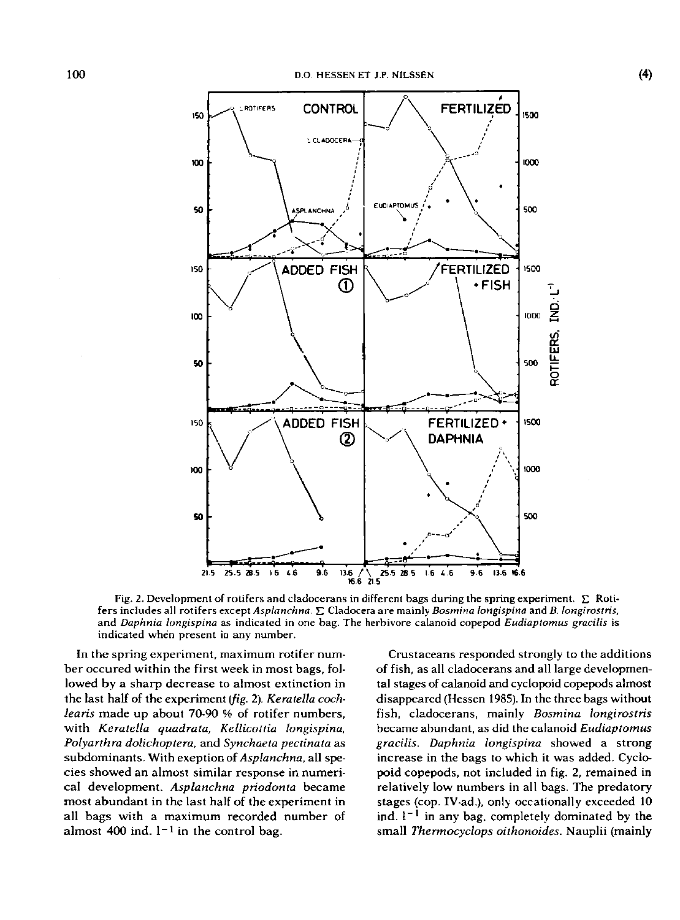

Fig. 2. Development of rotifers and cladocerans in different bags during the spring experiment.  $\Sigma$  Rotifers includes all rotifers except *Asplanchna.* £ Cladocera are mainly *Bosmina longispina* and *B. longirostris,*  and *Daphnia longispina* as indicated in one bag. The herbivore calanoid copepod *Eudiaptomus gracilis* is indicated when present in any number.

In the spring experiment, maximum rotifer number occured within the first week in most bags, followed by a sharp decrease to almost extinction in the last half of the experiment *{fig.* 2). *Keratella cochlearis* made up about 70-90 % of rotifer numbers, with *Keratella quadrata, Kellicottia longispina, Polyarthra dolichoptera,* and *Synchaeta pectinata* as subdominants. With exeption *of Asplanchna,* all species showed an almost similar response in numerical development. *Asplanchna priodonta* became most abundant in the last half of the experiment in all bags with a maximum recorded number of almost  $400$  ind.  $1<sup>-1</sup>$  in the control bag.

Crustaceans responded strongly to the additions of fish, as all cladocerans and all large developmental stages of calanoid and cyclopoid copepods almost disappeared (Hessen 1985). In the three bags without fish, cladocerans, mainly *Bosmina longirostris*  became abundant, as did the calanoid *Eudiaptomus gracilis. Daphnia longispina* showed a strong increase in the bags to which it was added. Cyclopoid copepods, not included in fig. 2, remained in relatively low numbers in all bags. The predatory stages {cop. IV-ad.), only occationally exceeded 10  $\ln d$   $\left(1 - \frac{1}{2}\right)$  in any bag, completely dominated by the small *Thermocyclops oithonoides.* Nauplii {mainly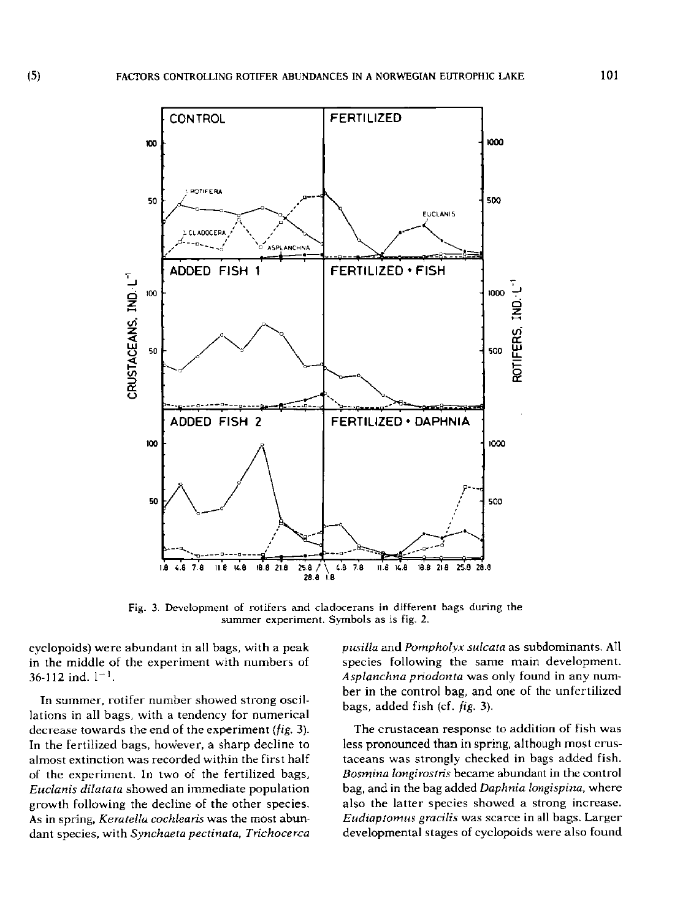

Fig. 3. Development of rotifers and cladocerans in different bags during the summer experiment. Symbols as is fig. 2.

cyclopoids) were abundant in all bags, with a peak in the middle of the experiment with numbers of  $36-112$  ind.  $1-1$ .

In summer, rotifer number showed strong oscillations in all bags, with a tendency for numerical decrease towards the end of the experiment *(fig,* 3). In the fertilized bags, however, a sharp decline to almost extinction was recorded within the first half of the experiment. In two of the fertilized bags, *Euclanis dilatata* showed an immediate population growth following the decline of the other species. As in spring, *Keratella cochlearis* was the most abundant species, with *Synchaeta pectinata, Trichocerca* 

*pusilla* and *Pompholyx sulcata* as subdominants. All species following the same main development. *Asplanchna priodonta* was only found in any number in the control bag, and one of the unfertilized bags, added fish (cf. *fig.* 3).

The crustacean response to addition of fish was less pronounced than in spring, although most crustaceans was strongly checked in bags added fish. *Bosmina longirostris* became abundant in the control bag, and in the bag added *Daphnia longispina,* where also the latter species showed a strong increase. *Eudiaptomus gracilis* was scarce in all bags. Larger developmental stages of cyclopoids were also found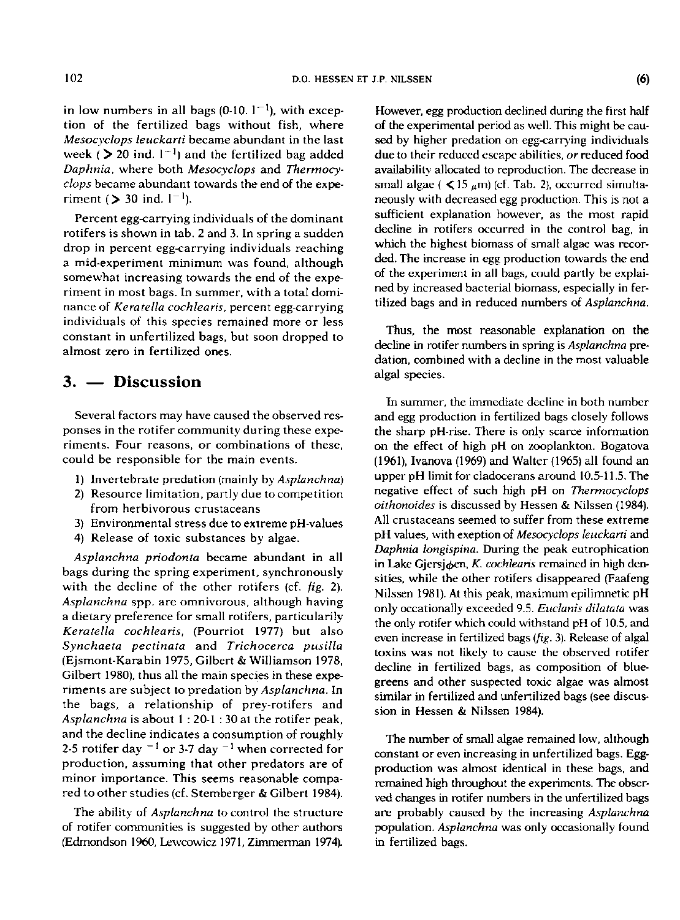in low numbers in all bags (0-10.  $1^{-1}$ ), with exception of the fertilized bags without fish, where *Mesocyclops leuckarti* became abundant in the last week ( $\geq$  20 ind.  $1^{-1}$ ) and the fertilized bag added *Daphnia,* where both *Mesocyclops* and *Thermocyclops* became abundant towards the end of the experiment ( $> 30$  ind.  $1^{-1}$ ).

Percent egg-carrying individuals of the dominant rotifers is shown in tab. 2 and 3. In spring a sudden drop in percent egg-carrying individuals reaching a mid-experiment minimum was found, although somewhat increasing towards the end of the experiment in most bags. In summer, with a total dominance of *Keratella cochlearis,* percent egg-carrying individuals of this species remained more or less constant in unfertilized bags, but soon dropped to almost zero in fertilized ones.

## **3. — Discussion**

Several factors may have caused the observed responses in the rotifer community during these experiments. Four reasons, or combinations of these, could be responsible for the main events.

- 1) Invertebrate prédation (mainly by *Asplanchna)*
- *2)* Resource limitation, partly due to competition from herbivorous crustaceans
- 3) Environmental stress due to extreme pH-values
- 4) Release of toxic substances by algae.

*Asplanchna priodonta* became abundant in all bags during the spring experiment, synchronously with the decline of the other rotifers (cf. *fig. 2). Asplanchna* spp. are omnivorous, although having a dietary preference for small rotifers, particularily *Keratella cochlearis, (Pourriot 1977)* but also *Synchaeta pectinata* and *Trichocerca pusilla*  (Ejsmont-Karabin 1975, Gilbert & Williamson 1978, Gilbert 1980), thus all the main species in these experiments are subject to prédation by *Asplanchna.* In the bags, a relationship of prey-rotifers and *Asplanchna* is about 1 : 20-1 : 30 at the rotifer peak, and the decline indicates a consumption of roughly 2-5 rotifer day <sup>-1</sup> or 3-7 day <sup>-1</sup> when corrected for production, assuming that other predators are of minor importance. This seems reasonable compared to other studies (cf. Stemberger & Gilbert 1984).

The ability of *Asplanchna* to control the structure of rotifer communities is suggested by other authors (Edmondson 1960, Lewcowicz 1971, Zimmerman 1974). However, egg production declined during the first half of the experimental period as well. This might be caused by higher predation on egg-carrying individuals due to their reduced escape abilities, *or* reduced food availability allocated to reproduction. The decrease in small algae ( $\leq 15 \mu$ m) (cf. Tab. 2), occurred simultaneously with decreased egg production. This is not a sufficient explanation however, as the most rapid decline in rotifers occurred in the control bag, in which the highest biomass of small algae was recorded. The increase in egg production towards the end of the experiment in all bags, could partly be explained by increased bacterial biomass, especially in fertilized bags and in reduced numbers of *Asplanchna.* 

Thus, the most reasonable explanation on the decline in rotifer numbers in spring is *Asplanchna* prédation, combined with a decline in the most valuable algal species.

In summer, the immediate decline in both number and egg production in fertilized bags closely follows the sharp pH-rise. There is only scarce information on the effect of high pH on zooplankton. Bogatova (1961), Ivanova (1969) and Walter (1965) all found an upper pH limit for cladocerans around 10.5-11.5. The negative effect of such high pH on *Thermocyclops oithonoides* is discussed by Hessen & Nilssen (1984). All crustaceans seemed to suffer from these extreme pH values, with exeption of *Mesocyclops leuckarti* and *Daphnia longispina.* During the peak eutrophication in Lake Gjersjøen, *K. cochlearis* remained in high densities, while the other rotifers disappeared (Faafeng Nilssen 1981). At this peak, maximum epilimnetic pH only occationally exceeded 9.5. *Euclanis dilatata* was the only rotifer which could withstand pH of 10.5, and even increase in fertilized bags *(fig.* 3). Release of algal toxins was not likely to cause the observed rotifer decline in fertilized bags, as composition of bluegreens and other suspected toxic algae was almost similar in fertilized and unfertilized bags (see discussion in Hessen & Nilssen 1984).

The number of small algae remained low, although constant or even increasing in unfertilized bags. Eggproduction was almost identical in these bags, and remained high throughout the experiments. The observed changes in rotifer numbers in the unfertilized bags are probably caused by the increasing *Asplanchna*  population. *Asplanchna* was only occasionally found in fertilized bags.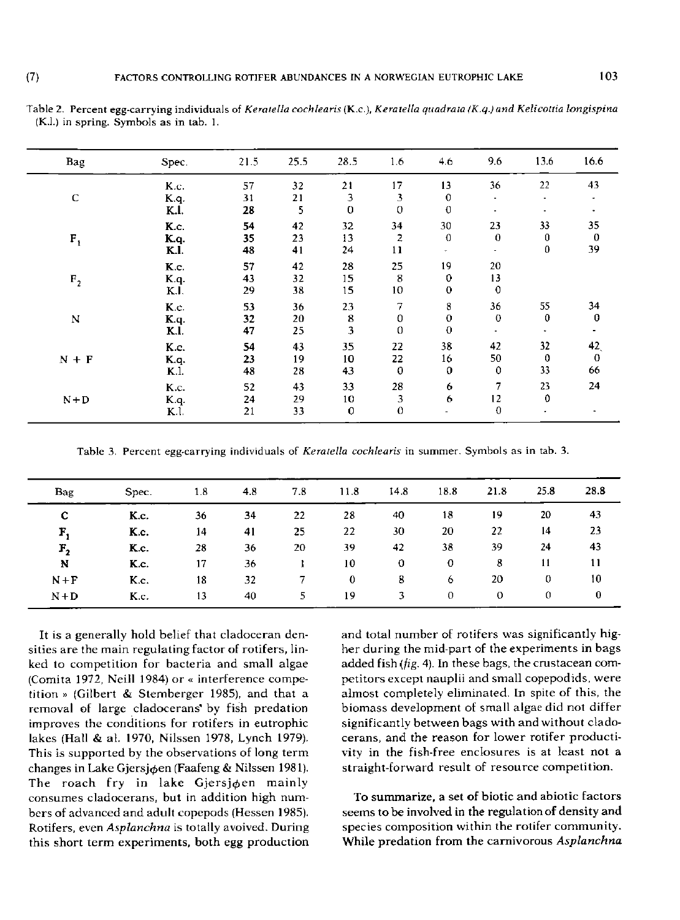| Bag            | Spec. | 21.5 | 25.5 | 28.5         | 1.6          | 4.6          | 9.6         | 13.6                                                           | 16.6        |
|----------------|-------|------|------|--------------|--------------|--------------|-------------|----------------------------------------------------------------|-------------|
| C              | K.c.  | 57   | 32   | 21           | 17           | 13           | 36          | 22                                                             | 43          |
|                | K.q.  | 31   | 21   | 3            | 3            | $\mathbf{0}$ | ٠           | ٠                                                              |             |
|                | K.I.  | 28   | 5    | $\mathbf{0}$ | $\mathbf{0}$ | $\bf{0}$     | ٠           | 33<br>$\bf{0}$<br>$\bf{0}$<br>55<br>$\bf{0}$<br>32<br>$\bf{0}$ |             |
|                | K.c.  | 54   | 42   | 32           | 34           | 30           | 23          |                                                                | 35          |
| $F_1$          | K.a.  | 35   | 23   | 13           | 2            | $\mathbf 0$  | $\theta$    |                                                                | $\bf{0}$    |
|                | K.I.  | 48   | 41   | 24           | $\mathbf{1}$ | ٠            | ٠           |                                                                | 39          |
|                | K.c.  | 57   | 42   | 28           | 25           | 19           | 20          |                                                                |             |
| F <sub>2</sub> | K.q.  | 43   | 32   | 15           | 8            | $\bf{0}$     | 13          |                                                                |             |
|                | K.I.  | 29   | 38   | 15           | 10           | $\bf{0}$     | $\mathbf 0$ |                                                                |             |
|                | K.c.  | 53   | 36   | 23           | 7            | 8            | 36          |                                                                | 34          |
| N              | Kq.   | 32   | 20   | 8            | 0            | $\mathbf 0$  | $\mathbf 0$ |                                                                | $\bf{0}$    |
|                | K.I.  | 47   | 25   | 3            | 0            | $\mathbf 0$  | ×.          |                                                                |             |
|                | K.c.  | 54   | 43   | 35           | 22           | 38           | 42          |                                                                | 42          |
| $N + F$        | K.q.  | 23   | 19   | 10           | 22           | 16           | 50          |                                                                | $\mathbf 0$ |
|                | K.I.  | 48   | 28   | 43           | 0            | $\mathbf{0}$ | 0           | 33                                                             | 66          |
|                | K.c.  | 52   | 43   | 33           | 28           | 6            | 7           | 23                                                             | 24          |
| $N + D$        | K.q.  | 24   | 29   | 10           | 3            | 6            | 12          | $\mathbf{0}$                                                   |             |
|                | K.l.  | 21   | 33   | 0            | $\mathbf 0$  |              | $\mathbf 0$ |                                                                |             |

**Tabl e 2. Percent egg-carrying individuals of** *Keratella eochlearis* **(K.c) ,** *Keratella quadrata (K.q.) and Kelicoltia longispina*  **(K.l.) in spring. Symbols as in tab. 1.** 

**Tabl e 3. Percent egg-carrying individuals of** *Keratella eochlearis* **in summer . Symbols as in tab. 3.** 

| Bag                                 | Spec. | 1.8 | 4.8 | 7.8 | 11.8        | 14.8 | 18.8        | 21.8 | 25.8         | 28.8     |
|-------------------------------------|-------|-----|-----|-----|-------------|------|-------------|------|--------------|----------|
| c                                   | K.c.  | 36  | 34  | 22  | 28          | 40   | 18          | 19   | 20           | 43       |
| F,                                  | K.c.  | 14  | 41  | 25  | 22          | 30   | 20          | 22   | 14           | 23       |
| $\mathbf{r}_{\scriptscriptstyle 2}$ | K.c.  | 28  | 36  | 20  | 39          | 42   | 38          | 39   | 24           | 43       |
| N                                   | K.c.  | 17  | 36  |     | 10          | 0    | $\mathbf o$ | 8    | 11           | 11       |
| $N + F$                             | K.c.  | 18  | 32  |     | $\mathbf 0$ | 8    | 6           | 20   | 0            | 10       |
| $N+D$                               | K.c.  | 13  | 40  | 5.  | 19          | 3    | $\Omega$    | 0    | $\mathbf{0}$ | $\bf{0}$ |

It is a generally hold belief that cladoceran densities are the main regulating factor of rotifers, linked to competition for bacteria and small algae (Comita 1972, Neill 1984) or « interference compe tition » (Gilbert & Stemberger 1985), and that a removal of large cladocerans' by fish predation improves the conditions for rotifers in eutrophic lakes (Hall & at. 1970, Nilssen 1978, Lynch 1979). This is supported by the observations of long term changes in Lake Gjersjøen (Faafeng & Nilssen 1981). The roach fry in lake Gjersjøen mainly consumes cladocerans, but in addition high numbers of advanced and adult copepods (Hessen 1985). Rotifers, even *Asplanchna* is totally avoived. During this short term experiments, both egg production

and total number of rotifers was significantly higher during the mid-part of the experiments in bags added fish *{jig.* 4). In these bags, the crustacean competitors except nauplii and small copepodids, were almost completely eliminated. In spite of this, the biomass development of small algae did not differ significantly between bags with and without cladocerans, and the reason for lower rotifer productivity in the fish-free enclosures is at least not a straight-forward result of resource competition.

To summarize, a set of biotic and abiotic factors seems to be involved in the regulation of density and species composition within the rotifer community. While predation from the carnivorous Asplanchna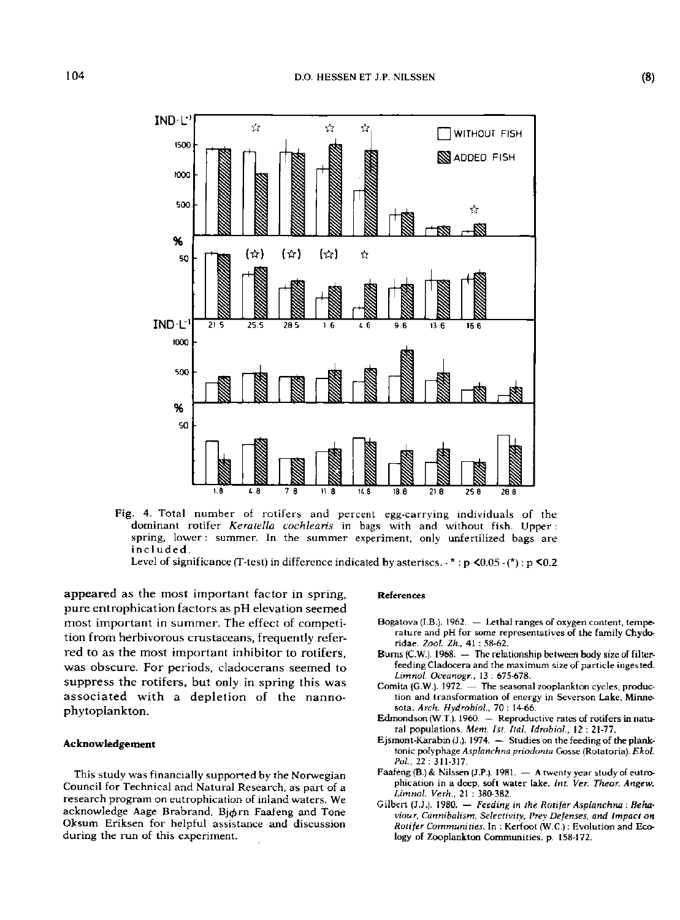

**Fig .** 4. **Tota l numbe r of rotifer s an d percent egg-carryin g individuals of the**  dominant rotifer Keratella cochlearis in bags with and without fish. Upper : spring, lower : summer. In the summer experiment, only unfertilized bags are **included .** 

Level of significance (T-test) in difference indicated by asteriscs.  $\cdot$  \* : p <0.05  $\cdot$  (\*) : p <0.2

appeared as the most important factor in spring, pure entrophication factors as pH elevation seemed most important in summer. The effect of competition from herbivorous crustaceans, frequently referred to as the most important inhibitor to rotifers, was obscure. For periods, cladocerans seemed to suppress the rotifers, but only in spring this was associated with a depletion of the nannophytoplankton.

#### **Acknowledgement**

This study was financially supported by the Norwegian Council for Technical and Natural Research, as part of a research program on eutrophication of inland waters. We acknowledge Aage Brabrand, Biorn Faafeng and Tone Oksum Eriksen for helpful assistance and discussion during the run of this experiment.

#### **References**

- **Bogatova (I.B.). 1962. Lethal ranges of oxygen content, temperature and pH for some representatives of the family Chydoridae.** *Zoo!. Zk,* **41 : 58-62.**
- **Bums(C.W.). 1968. The relationship between body size of filterfeeding Cladocera and the maximum size of particle inges ted.**  *Limnol. Oceanogr.,* **13 : 675-678.**
- **Comita (G.W.). 1972. The seasonal zooplankton cycles, production and transformation of energy in Severson Lake, Minnesota.** *Arch. Hydrobiol,* **70 : 14-66.**
- **Edmondson (W.T.). 1960. Reproductive rates of rotifers in natural populations.** *Mem. 1st. Hal. Idrobiol.,* **12 ; 21-77.**
- **Ejsmont-Karabin (J.). 1974. Studies on the feeding of the planktonic polyphage** *Asplanchna priodonta* **Gosse (Rotatoria).** *Ekol. Pol.,* **22 ; 311-317.**
- **Faafeng (B.) & Nilssen (J.P.). 1981. A twenty year study of eutrophication in a deep, soft water lake.** *Int. Ver. Theor. Angew. Limnol. Verh.,* **21 : 380-382.**
- **Gilbert (J.J.). 1980. —** *Feeding in the Rotifer Asplanchna : Behaviour, Cannibalism, Selectivity, Prey Defenses, and Impact on Rotifer Communities.* **In : Kerfoot (W.C.) : Evolution and Ecology of Zooplankton Communities, p. 158-172.**